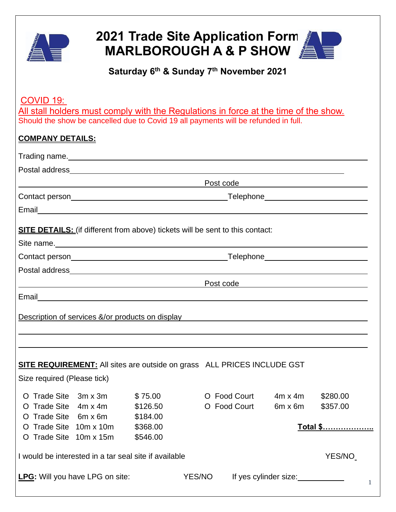

# **2021 Trade Site Application Form MARLBOROUGH A & P SHOW**

## **Saturday 6 th & Sunday 7 th November 2021**

COVID 19: All stall holders must comply with the Regulations in force at the time of the show. Should the show be cancelled due to Covid 19 all payments will be refunded in full.

| <u> 1989 - Jan Samuel Barbara, margaret eta idazlea (h. 1989).</u>                                                                                                                                                            |                                       | Post code <b>Example 2016</b> |                       |          |
|-------------------------------------------------------------------------------------------------------------------------------------------------------------------------------------------------------------------------------|---------------------------------------|-------------------------------|-----------------------|----------|
|                                                                                                                                                                                                                               | _Telephone___________________________ |                               |                       |          |
|                                                                                                                                                                                                                               |                                       |                               |                       |          |
| <b>SITE DETAILS:</b> (if different from above) tickets will be sent to this contact:                                                                                                                                          |                                       |                               |                       |          |
|                                                                                                                                                                                                                               |                                       |                               |                       |          |
| Contact person example and the control of the control of the control of the control of the control of the control of the control of the control of the control of the control of the control of the control of the control of |                                       |                               |                       |          |
|                                                                                                                                                                                                                               |                                       |                               |                       |          |
| <u> 1989 - Johann Stoff, deutscher Stoff, der Stoff, der Stoff, der Stoff, der Stoff, der Stoff, der Stoff, der S</u>                                                                                                         |                                       | Post code                     |                       |          |
|                                                                                                                                                                                                                               |                                       |                               |                       |          |
|                                                                                                                                                                                                                               |                                       |                               |                       |          |
| Description of services &/or products on display example of the service of the service of the service of the service of the service of the service of the service of the service of the service of the service of the service |                                       |                               |                       |          |
|                                                                                                                                                                                                                               |                                       |                               |                       |          |
|                                                                                                                                                                                                                               |                                       |                               |                       |          |
|                                                                                                                                                                                                                               |                                       |                               |                       |          |
| <b>SITE REQUIREMENT:</b> All sites are outside on grass ALL PRICES INCLUDE GST                                                                                                                                                |                                       |                               |                       |          |
| Size required (Please tick)                                                                                                                                                                                                   |                                       |                               |                       |          |
| O Trade Site 3m x 3m                                                                                                                                                                                                          | \$75.00                               | O Food Court                  | $4m \times 4m$        | \$280.00 |
| O Trade Site 4m x 4m \$126.50                                                                                                                                                                                                 |                                       | O Food Court                  | $6m \times 6m$        | \$357.00 |
| O Trade Site 6m x 6m                                                                                                                                                                                                          | \$184.00                              |                               |                       |          |
| Trade Site 10m x 10m                                                                                                                                                                                                          | \$368.00                              |                               |                       | Total \$ |
| O Trade Site 10m x 15m                                                                                                                                                                                                        | \$546.00                              |                               |                       |          |
|                                                                                                                                                                                                                               |                                       |                               | YES/NO                |          |
| I would be interested in a tar seal site if available                                                                                                                                                                         |                                       |                               |                       |          |
| LPG: Will you have LPG on site:                                                                                                                                                                                               |                                       | YES/NO                        | If yes cylinder size: |          |